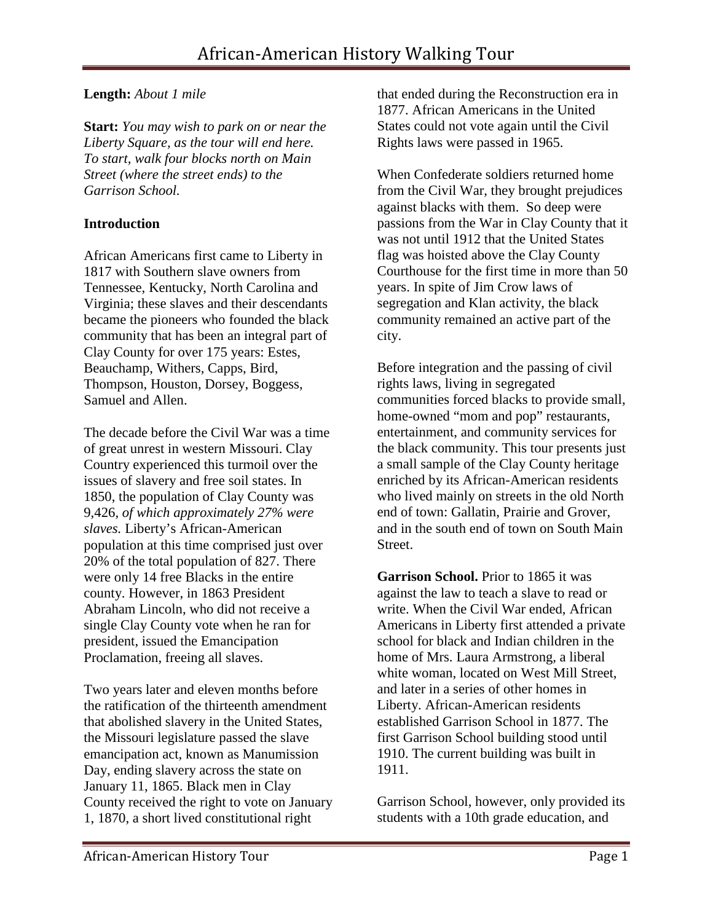# **Length:** *About 1 mile*

**Start:** *You may wish to park on or near the Liberty Square, as the tour will end here. To start, walk four blocks north on Main Street (where the street ends) to the Garrison School.*

## **Introduction**

African Americans first came to Liberty in 1817 with Southern slave owners from Tennessee, Kentucky, North Carolina and Virginia; these slaves and their descendants became the pioneers who founded the black community that has been an integral part of Clay County for over 175 years: Estes, Beauchamp, Withers, Capps, Bird, Thompson, Houston, Dorsey, Boggess, Samuel and Allen.

The decade before the Civil War was a time of great unrest in western Missouri. Clay Country experienced this turmoil over the issues of slavery and free soil states. In 1850, the population of Clay County was 9,426, *[of which approximately 27% were](http://members.aol.com/garyfuenfh/indexslave.html)  [slaves.](http://members.aol.com/garyfuenfh/indexslave.html)* Liberty's African-American population at this time comprised just over 20% of the total population of 827. There were only 14 free Blacks in the entire county. However, in 1863 President Abraham Lincoln, who did not receive a single Clay County vote when he ran for president, issued the Emancipation Proclamation, freeing all slaves.

Two years later and eleven months before the ratification of the thirteenth amendment that abolished slavery in the United States, the Missouri legislature passed the slave emancipation act, known as Manumission Day, ending slavery across the state on January 11, 1865. Black men in Clay County received the right to vote on January 1, 1870, a short lived constitutional right

that ended during the Reconstruction era in 1877. African Americans in the United States could not vote again until the Civil Rights laws were passed in 1965.

When Confederate soldiers returned home from the Civil War, they brought prejudices against blacks with them. So deep were passions from the War in Clay County that it was not until 1912 that the United States flag was hoisted above the Clay County Courthouse for the first time in more than 50 years. In spite of Jim Crow laws of segregation and Klan activity, the black community remained an active part of the city.

Before integration and the passing of civil rights laws, living in segregated communities forced blacks to provide small, home-owned "mom and pop" restaurants, entertainment, and community services for the black community. This tour presents just a small sample of the Clay County heritage enriched by its African-American residents who lived mainly on streets in the old North end of town: Gallatin, Prairie and Grover, and in the south end of town on South Main Street.

**Garrison School.** Prior to 1865 it was against the law to teach a slave to read or write. When the Civil War ended, African Americans in Liberty first attended a private school for black and Indian children in the home of Mrs. Laura Armstrong, a liberal white woman, located on West Mill Street, and later in a series of other homes in Liberty. African-American residents established Garrison School in 1877. The first Garrison School building stood until 1910. The current building was built in 1911.

Garrison School, however, only provided its students with a 10th grade education, and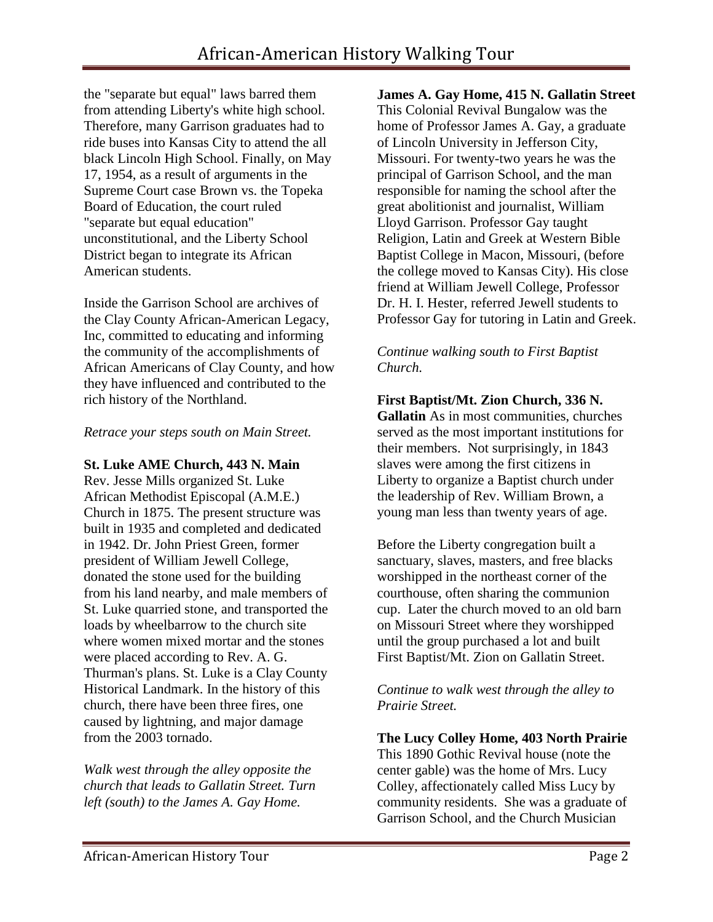the "separate but equal" laws barred them from attending Liberty's white high school. Therefore, many Garrison graduates had to ride buses into Kansas City to attend the all black Lincoln High School. Finally, on May 17, 1954, as a result of arguments in the Supreme Court case Brown vs. the Topeka Board of Education, the court ruled "separate but equal education" unconstitutional, and the Liberty School District began to integrate its African American students.

Inside the Garrison School are archives of the Clay County African-American Legacy, Inc, committed to educating and informing the community of the accomplishments of African Americans of Clay County, and how they have influenced and contributed to the rich history of the Northland.

#### *Retrace your steps south on Main Street.*

#### **St. Luke AME Church, 443 N. Main**

Rev. Jesse Mills organized St. Luke African Methodist Episcopal (A.M.E.) Church in 1875. The present structure was built in 1935 and completed and dedicated in 1942. Dr. John Priest Green, former president of William Jewell College, donated the stone used for the building from his land nearby, and male members of St. Luke quarried stone, and transported the loads by wheelbarrow to the church site where women mixed mortar and the stones were placed according to Rev. A. G. Thurman's plans. St. Luke is a Clay County Historical Landmark. In the history of this church, there have been three fires, one caused by lightning, and major damage from the 2003 tornado.

*Walk west through the alley opposite the church that leads to Gallatin Street. Turn left (south) to the James A. Gay Home.* 

**James A. Gay Home, 415 N. Gallatin Street** This Colonial Revival Bungalow was the home of Professor James A. Gay, a graduate of Lincoln University in Jefferson City, Missouri. For twenty-two years he was the principal of Garrison School, and the man responsible for naming the school after the great abolitionist and journalist, William Lloyd Garrison. Professor Gay taught Religion, Latin and Greek at Western Bible Baptist College in Macon, Missouri, (before the college moved to Kansas City). His close friend at William Jewell College, Professor Dr. H. I. Hester, referred Jewell students to Professor Gay for tutoring in Latin and Greek.

#### *Continue walking south to First Baptist Church.*

## **First Baptist/Mt. Zion Church, 336 N.**

**Gallatin** As in most communities, churches served as the most important institutions for their members. Not surprisingly, in 1843 slaves were among the first citizens in Liberty to organize a Baptist church under the leadership of Rev. William Brown, a young man less than twenty years of age.

Before the Liberty congregation built a sanctuary, slaves, masters, and free blacks worshipped in the northeast corner of the courthouse, often sharing the communion cup. Later the church moved to an old barn on Missouri Street where they worshipped until the group purchased a lot and built First Baptist/Mt. Zion on Gallatin Street.

*Continue to walk west through the alley to Prairie Street.* 

**The Lucy Colley Home, 403 North Prairie**  This 1890 Gothic Revival house (note the center gable) was the home of Mrs. Lucy Colley, affectionately called Miss Lucy by community residents. She was a graduate of Garrison School, and the Church Musician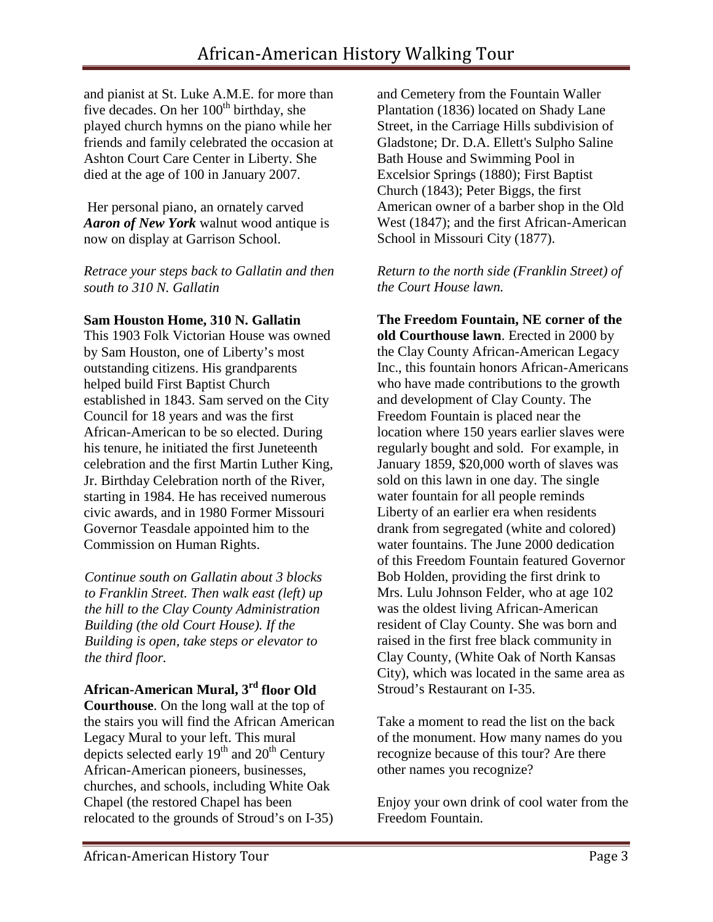and pianist at St. Luke A.M.E. for more than five decades. On her  $100<sup>th</sup>$  birthday, she played church hymns on the piano while her friends and family celebrated the occasion at Ashton Court Care Center in Liberty. She died at the age of 100 in January 2007.

Her personal piano, an ornately carved *Aaron of New York* walnut wood antique is now on display at Garrison School.

*Retrace your steps back to Gallatin and then south to 310 N. Gallatin*

## **Sam Houston Home, 310 N. Gallatin**

This 1903 Folk Victorian House was owned by Sam Houston, one of Liberty's most outstanding citizens. His grandparents helped build First Baptist Church established in 1843. Sam served on the City Council for 18 years and was the first African-American to be so elected. During his tenure, he initiated the first Juneteenth celebration and the first Martin Luther King, Jr. Birthday Celebration north of the River, starting in 1984. He has received numerous civic awards, and in 1980 Former Missouri Governor Teasdale appointed him to the Commission on Human Rights.

*Continue south on Gallatin about 3 blocks to Franklin Street. Then walk east (left) up the hill to the Clay County Administration Building (the old Court House). If the Building is open, take steps or elevator to the third floor.* 

**African-American Mural, 3rd floor Old Courthouse**. On the long wall at the top of the stairs you will find the African American Legacy Mural to your left. This mural depicts selected early  $19<sup>th</sup>$  and  $20<sup>th</sup>$  Century African-American pioneers, businesses, churches, and schools, including White Oak Chapel (the restored Chapel has been relocated to the grounds of Stroud's on I-35)

and Cemetery from the Fountain Waller Plantation (1836) located on Shady Lane Street, in the Carriage Hills subdivision of Gladstone; Dr. D.A. Ellett's Sulpho Saline Bath House and Swimming Pool in Excelsior Springs (1880); First Baptist Church (1843); Peter Biggs, the first American owner of a barber shop in the Old West (1847); and the first African-American School in Missouri City (1877).

*Return to the north side (Franklin Street) of the Court House lawn.*

**The Freedom Fountain, NE corner of the old Courthouse lawn**. Erected in 2000 by the Clay County African-American Legacy Inc., this fountain honors African-Americans who have made contributions to the growth and development of Clay County. The Freedom Fountain is placed near the location where 150 years earlier slaves were regularly bought and sold. For example, in January 1859, \$20,000 worth of slaves was sold on this lawn in one day. The single water fountain for all people reminds Liberty of an earlier era when residents drank from segregated (white and colored) water fountains. The June 2000 dedication of this Freedom Fountain featured Governor Bob Holden, providing the first drink to Mrs. Lulu Johnson Felder, who at age 102 was the oldest living African-American resident of Clay County. She was born and raised in the first free black community in Clay County, (White Oak of North Kansas City), which was located in the same area as Stroud's Restaurant on I-35.

Take a moment to read the list on the back of the monument. How many names do you recognize because of this tour? Are there other names you recognize?

Enjoy your own drink of cool water from the Freedom Fountain.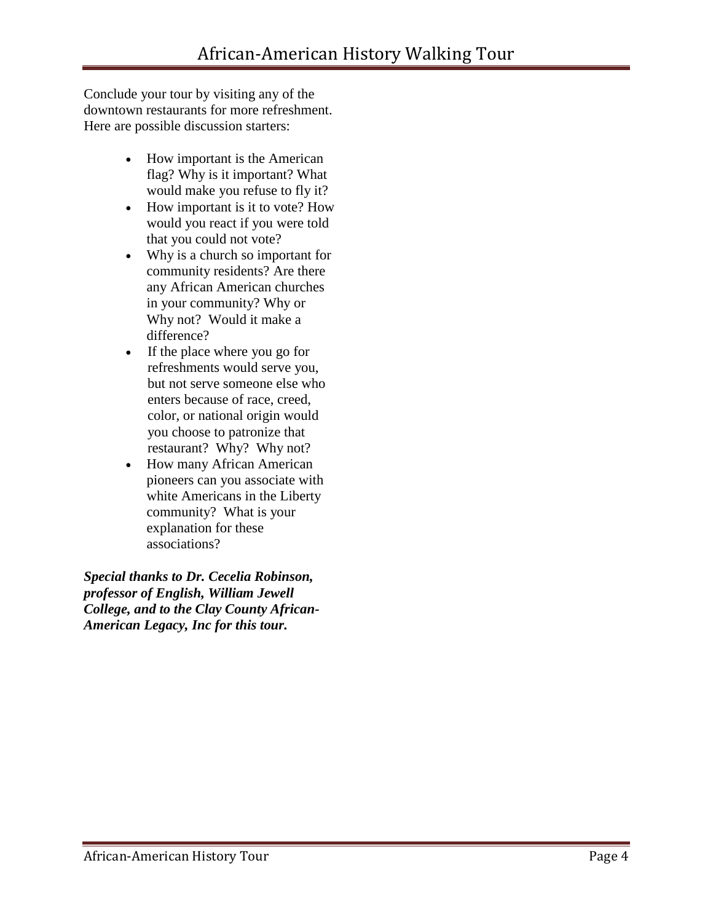Conclude your tour by visiting any of the downtown restaurants for more refreshment. Here are possible discussion starters:

- How important is the American flag? Why is it important? What would make you refuse to fly it?
- How important is it to vote? How would you react if you were told that you could not vote?
- Why is a church so important for community residents? Are there any African American churches in your community? Why or Why not? Would it make a difference?
- If the place where you go for refreshments would serve you, but not serve someone else who enters because of race, creed, color, or national origin would you choose to patronize that restaurant? Why? Why not?
- How many African American pioneers can you associate with white Americans in the Liberty community? What is your explanation for these associations?

*Special thanks to Dr. Cecelia Robinson, professor of English, William Jewell College, and to the Clay County African-American Legacy, Inc for this tour.*